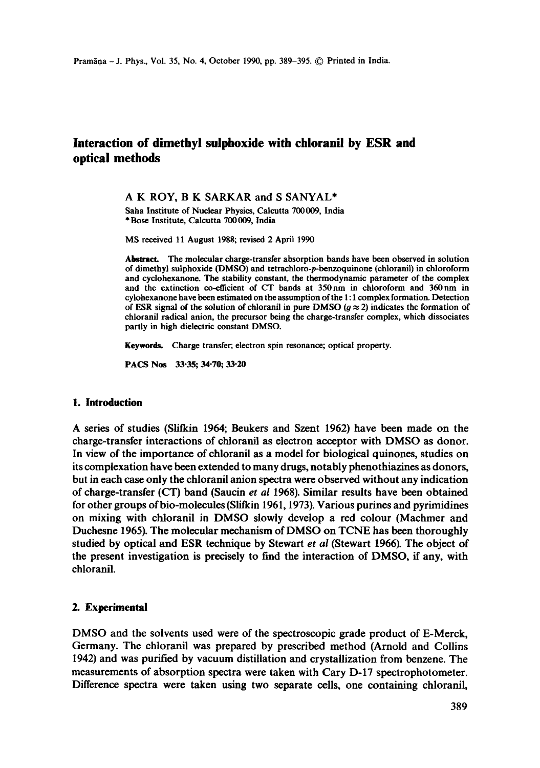# **Interaction of dimethyl sulphoxide with chloranil by ESR and optical methods**

A K ROY, B K SARKAR and S SANYAL\*

Saha Institute of Nuclear Physics, Calcutta 700009, India \* Bose Institute, Calcutta 700009, India

MS received 11 August 1988; revised 2 April 1990

Abstract. The molecular charge-transfer absorption bands have been observed in solution of dimethyl sulphoxide (DMSO) and tetrachloro-p-benzoquinone (chloranil) in chloroform and cyciohexanone. The stabifity constant, the thermodynamic parameter of the complex and the extinction co-efficient of CT bands at 350nm in chloroform and 360nm in cylohexanone have been estimated on the assumption of the I: 1 complex formation. Detection of ESR signal of the solution of chloranil in pure DMSO ( $g \approx 2$ ) indicates the formation of chloranil radical anion, the precursor being the charge-transfer complex, which dissociates partly in high dielectric constant DMSO.

Keywords. Charge transfer; electron spin resonance; optical property.

PACS Nos 33-35; 34-70; 33-20

#### **1. Introduction**

A series of studies (Slifkin 1964; Beukers and Szent 1962) have been made on the charge-transfer interactions of chloranil as electron acceptor with DMSO as donor. In view of the importance of chloranil as a model for biological quinones, studies on its complexation have been extended to many drugs, notably phenothiazines as donors, but in each case only the ehloranil anion spectra were observed without any indication of charge-transfer (CT) band (Saucin *et al* 1968). Similar results have been obtained for other groups of bio-molecules (Slifkin 1961, 1973). Various purines and pyrimidines on mixing with chloranil in DMSO slowly develop a red colour (Machmer and Duchesne 1965). The molecular mechanism of DMSO on TCNE has been thoroughly studied by optical and ESR technique by Stewart *et al* (Stewart 1966). The object of the present investigation is precisely to find the interaction of DMSO, if any, with chloranil.

## **2. Experimental**

DMSO and the solvents used were of the spectroscopic grade product of E-Merck, Germany. The chloranil was prepared by prescribed method (Arnold and Collins 1942) and was purified by vacuum distillation and crystallization from benzene. The measurements of absorption spectra were taken with Cary D-17 spectrophotometer. Difference spectra were taken using two separate cells, one containing ehloranil,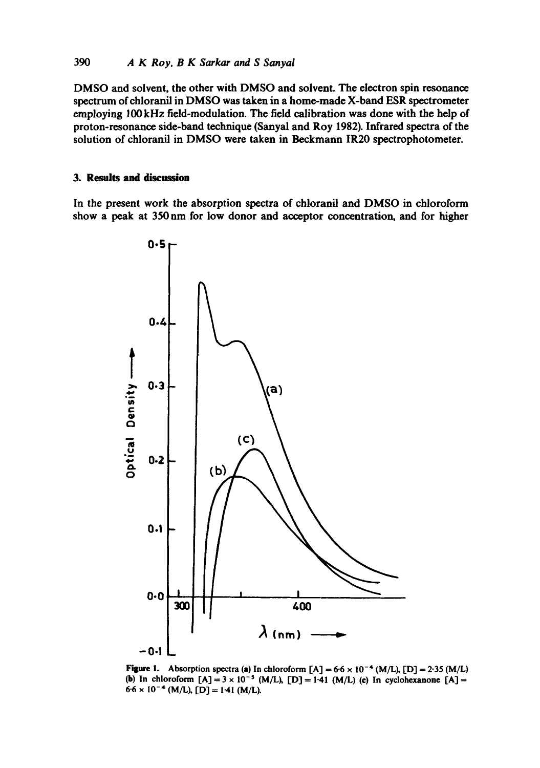DMSO and solvent, the other with DMSO and solvent. The electron spin resonance spectrum of chloranil in DMSO was taken in a home-made X-band ESR spectrometer employing 100 kHz field-modulation. The field calibration was done with the help of proton-resonance side-band technique (Sanyal and Roy 1982). Infrared spectra of the solution of chloranil in DMSO were taken in Beckmann IR20 spectrophotometer.

### **3. Results and** discussion

In the present work the absorption spectra of chloranil and DMSO in chloroform show a peak at 350nm for low donor and acceptor concentration, and for higher



Figure 1. Absorption spectra (a) In chloroform  $[A] = 6.6 \times 10^{-4}$  (M/L),  $[D] = 2.35$  (M/L) (b) In chloroform  $[A] = 3 \times 10^{-5}$  (M/L),  $[D] = 1.41$  (M/L) (c) In cyclohexanone  $[A] =$  $6.6 \times 10^{-4}$  (M/L), [D] = 1.41 (M/L).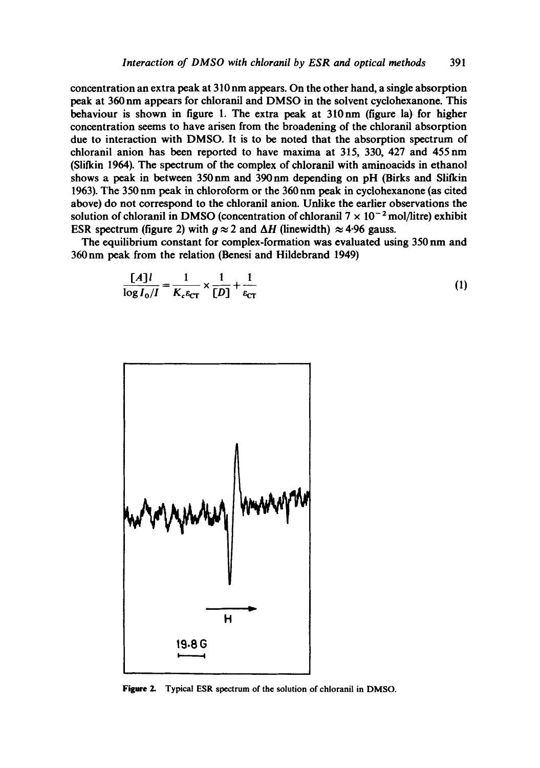concentration an extra peak at 310 nm appears. On the other hand, a single absorption peak at 360 nm appears for chloranil and DMSO in the solvent cyclohexanone. This behaviour is shown in figure 1. The extra peak at 310nm (figure la) for higher concentration seems to have arisen from the broadening of the chloranil absorption due to interaction with DMSO. It is to be noted that the absorption spectrum of chloranil anion has been reported to have maxima at 315, 330, 427 and 455nm (Slifkin 1964). The spectrum of the complex of chloranil with aminoacids in ethanol shows a peak in between 350 nm and 390 nm depending on pH (Birks and Slifkin 1963). The 350 nm peak in chloroform or the 360 nm peak in cyclohexanone (as cited above) do not correspond to the chloranil anion. Unlike the earlier observations the solution of chloranil in DMSO (concentration of chloranil  $7 \times 10^{-2}$  mol/litre) exhibit ESR spectrum (figure 2) with  $q \approx 2$  and  $\Delta H$  (linewidth)  $\approx 4.96$  gauss.

The equilibrium constant for complex-formation was evaluated using 350 nm and 360nm peak from the relation (Benesi and Hildebrand 1949)

$$
\frac{[A]l}{\log I_0/I} = \frac{1}{K_c \varepsilon_{CT}} \times \frac{1}{[D]} + \frac{1}{\varepsilon_{CT}}
$$
(1)



Figure 2. Typical ESR spectrum of the solution of chloranil in DMSO.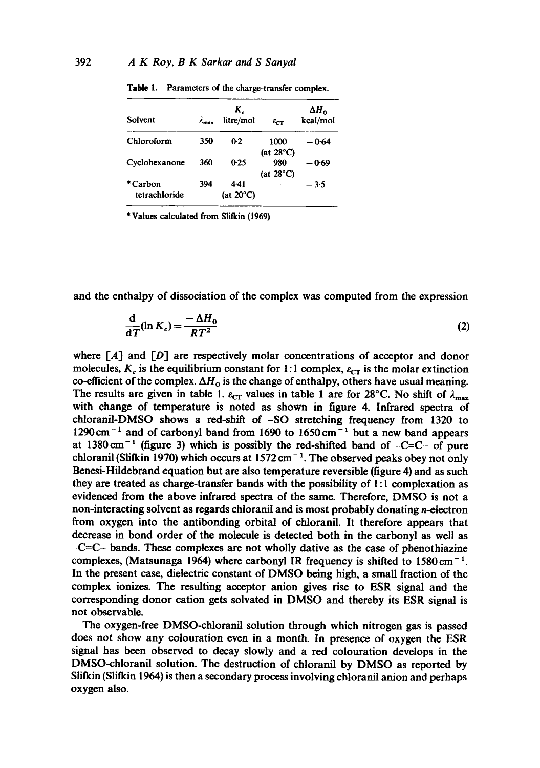| Solvent                   | $\lambda_{\text{max}}$ | K,<br>litre/mol            | $\epsilon_{\text{CT}}$      | $\Delta H_{\alpha}$<br>kcal/mol |
|---------------------------|------------------------|----------------------------|-----------------------------|---------------------------------|
| Chloroform                | 350                    | 0.2                        | 1000<br>(at $28^{\circ}$ C) | — 0-64                          |
| Cvclohexanone             | 360                    | 0.25                       | 980<br>(at $28^{\circ}$ C)  | — 0-69                          |
| * Carbon<br>tetrachloride | 394                    | 441<br>(at $20^{\circ}$ C) |                             | $-3.5$                          |

Table 1. Parameters of the charge-transfer complex.

\* Values calculated from Slilkin (1969)

and the enthalpy of dissociation of the complex was computed from the expression

$$
\frac{\mathrm{d}}{\mathrm{d}T}(\ln K_c) = \frac{-\Delta H_0}{RT^2} \tag{2}
$$

where  $[A]$  and  $[D]$  are respectively molar concentrations of acceptor and donor molecules,  $K_c$  is the equilibrium constant for 1:1 complex,  $\varepsilon_{CT}$  is the molar extinction co-efficient of the complex.  $\Delta H_0$  is the change of enthalpy, others have usual meaning. The results are given in table 1.  $\varepsilon_{CT}$  values in table 1 are for 28°C. No shift of  $\lambda_{\text{max}}$ with change of temperature is noted as shown in figure 4. Infrared spectra of chloranil-DMSO shows a red-shift of -SO stretching frequency from 1320 to  $1290 \text{ cm}^{-1}$  and of carbonyl band from 1690 to 1650 cm<sup>-1</sup> but a new band appears at  $1380 \text{ cm}^{-1}$  (figure 3) which is possibly the red-shifted band of  $-C=C-$  of pure chloranil (Slifkin 1970) which occurs at  $1572 \text{ cm}^{-1}$ . The observed peaks obey not only Benesi-Hildebrand equation but are also temperature reversible (figure 4) and as such they are treated as charge-transfer bands with the possibility of 1:1 complexation as evidenced from the above infrared spectra of the same. Therefore, DMSO is not a non-interacting solvent as regards chloranil and is most probably donating n-electron from oxygen into the antibonding orbital of chloranil. It therefore appears that decrease in bond order of the molecule is detected both in the carbonyl as well as  $-C=C$ - bands. These complexes are not wholly dative as the case of phenothiazine complexes, (Matsunaga 1964) where carbonyl IR frequency is shifted to  $1580 \text{ cm}^{-1}$ . In the present case, dielectric constant of DMSO being high, a small fraction of the complex ionizes. The resulting acceptor anion gives rise to ESR signal and the corresponding donor cation gets solvated in DMSO and thereby its ESR signal is not observable.

The oxygen-free DMSO-chloranil solution through which nitrogen gas is passed does not show any colouration even in a month. In presence of oxygen the ESR signal has been observed to decay slowly and a red colouration develops in the DMSO-chloranil solution. The destruction of chloranil by DMSO as reported by Slifkin (Slifkin 1964) is then a secondary process involving chloranil anion and perhaps oxygen also.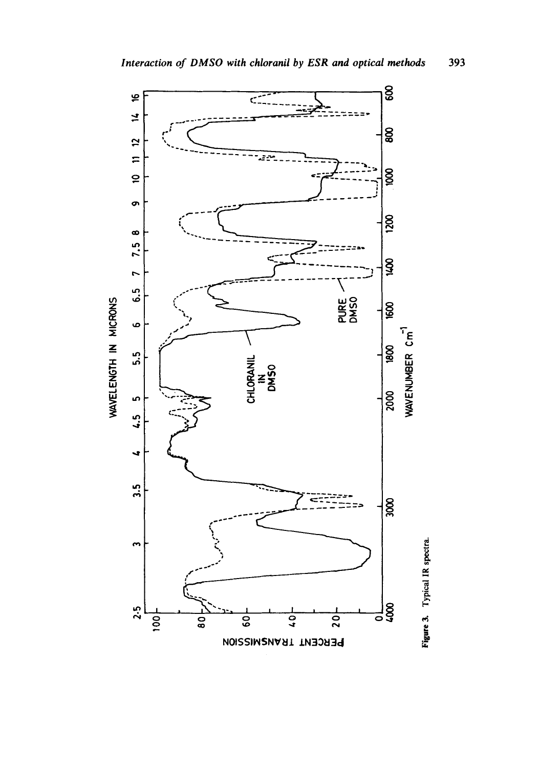

Figure 3. Typical IR spectra.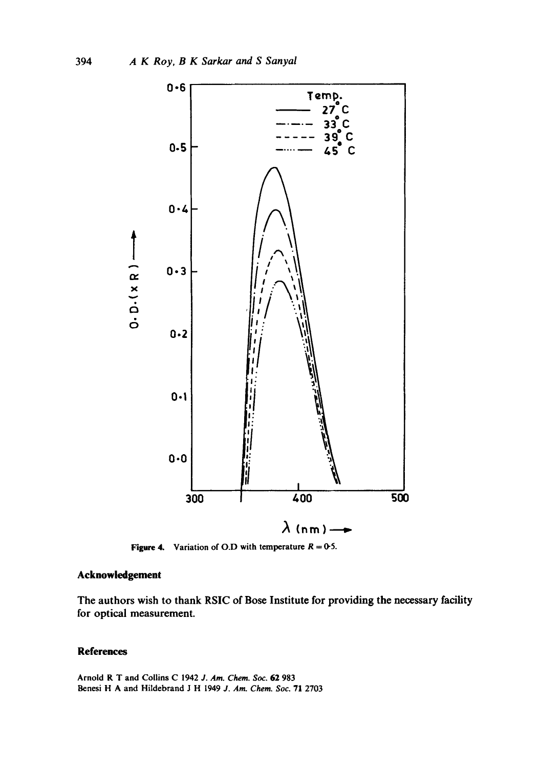

Figure 4. Variation of O.D with temperature  $R = 0.5$ .

## **Acknowledgement**

The authors wish to thank RSIC of Bose Institute for providing the necessary facility for optical measurement.

# **References**

Arnold R T and Collins C 1942 J. Am. Chem. Soc. 62 983 Benesi H A and Hildebrand J H 1949 J. Am. Chem. Soc. 71 2703

394